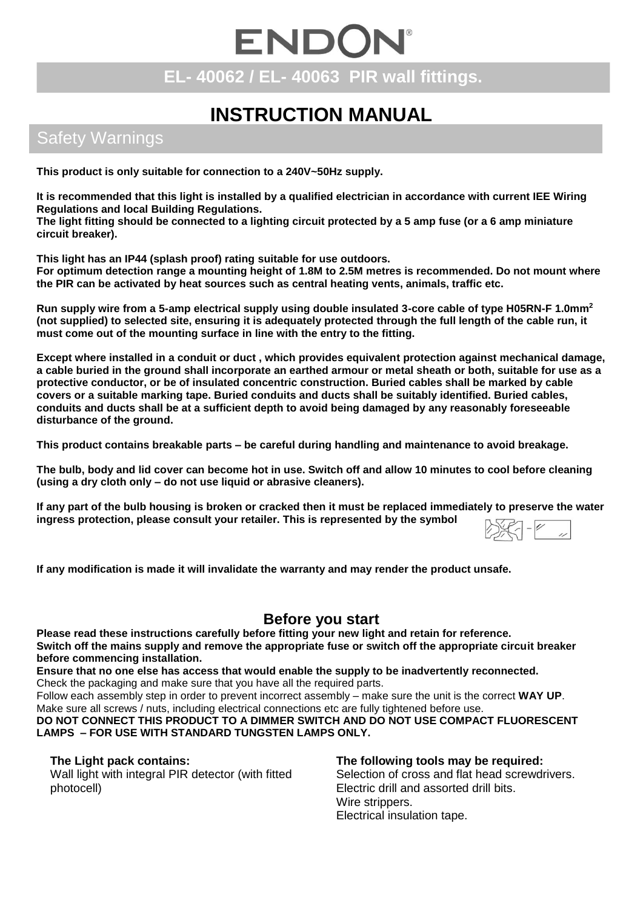# ENDON **EL- 40062 / EL- 40063 PIR wall fittings.**

# **INSTRUCTION MANUAL**

## Safety Warnings

**This product is only suitable for connection to a 240V~50Hz supply.** 

**It is recommended that this light is installed by a qualified electrician in accordance with current IEE Wiring Regulations and local Building Regulations.**

**The light fitting should be connected to a lighting circuit protected by a 5 amp fuse (or a 6 amp miniature circuit breaker).**

**This light has an IP44 (splash proof) rating suitable for use outdoors.**

**For optimum detection range a mounting height of 1.8M to 2.5M metres is recommended. Do not mount where the PIR can be activated by heat sources such as central heating vents, animals, traffic etc.**

**Run supply wire from a 5-amp electrical supply using double insulated 3-core cable of type H05RN-F 1.0mm<sup>2</sup> (not supplied) to selected site, ensuring it is adequately protected through the full length of the cable run, it must come out of the mounting surface in line with the entry to the fitting.**

**Except where installed in a conduit or duct , which provides equivalent protection against mechanical damage, a cable buried in the ground shall incorporate an earthed armour or metal sheath or both, suitable for use as a protective conductor, or be of insulated concentric construction. Buried cables shall be marked by cable covers or a suitable marking tape. Buried conduits and ducts shall be suitably identified. Buried cables, conduits and ducts shall be at a sufficient depth to avoid being damaged by any reasonably foreseeable disturbance of the ground.**

**This product contains breakable parts – be careful during handling and maintenance to avoid breakage.**

**The bulb, body and lid cover can become hot in use. Switch off and allow 10 minutes to cool before cleaning (using a dry cloth only – do not use liquid or abrasive cleaners).**

**If any part of the bulb housing is broken or cracked then it must be replaced immediately to preserve the water ingress protection, please consult your retailer. This is represented by the symbol**   $\overline{a}$   $\overline{c}$ 

**If any modification is made it will invalidate the warranty and may render the product unsafe.**

## **Before you start**

**Please read these instructions carefully before fitting your new light and retain for reference. Switch off the mains supply and remove the appropriate fuse or switch off the appropriate circuit breaker before commencing installation.**

**Ensure that no one else has access that would enable the supply to be inadvertently reconnected.** Check the packaging and make sure that you have all the required parts.

Follow each assembly step in order to prevent incorrect assembly – make sure the unit is the correct **WAY UP**. Make sure all screws / nuts, including electrical connections etc are fully tightened before use.

**DO NOT CONNECT THIS PRODUCT TO A DIMMER SWITCH AND DO NOT USE COMPACT FLUORESCENT LAMPS – FOR USE WITH STANDARD TUNGSTEN LAMPS ONLY.**

### **The Light pack contains:**

Wall light with integral PIR detector (with fitted photocell)

#### **The following tools may be required:** Selection of cross and flat head screwdrivers. Electric drill and assorted drill bits.

Wire strippers. Electrical insulation tape.